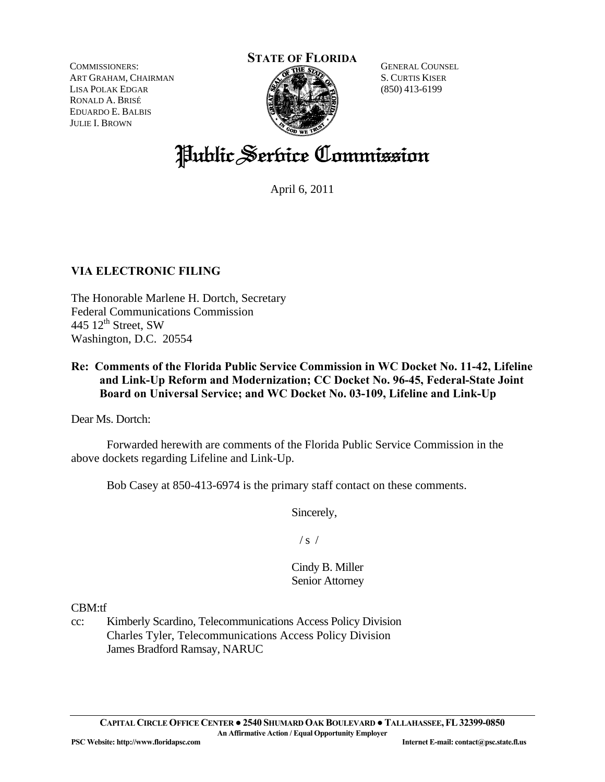COMMISSIONERS: ART GRAHAM, CHAIRMAN LISA POLAK EDGAR RONALD A. BRISÉ EDUARDO E. BALBIS JULIE I. BROWN



GENERAL COUNSEL S. CURTIS KISER (850) 413-6199

# Public Service Commission

April 6, 2011

## **VIA ELECTRONIC FILING**

The Honorable Marlene H. Dortch, Secretary Federal Communications Commission 445 12<sup>th</sup> Street, SW Washington, D.C. 20554

## **Re: Comments of the Florida Public Service Commission in WC Docket No. 11-42, Lifeline and Link-Up Reform and Modernization; CC Docket No. 96-45, Federal-State Joint Board on Universal Service; and WC Docket No. 03-109, Lifeline and Link-Up**

Dear Ms. Dortch:

 Forwarded herewith are comments of the Florida Public Service Commission in the above dockets regarding Lifeline and Link-Up.

Bob Casey at 850-413-6974 is the primary staff contact on these comments.

Sincerely,

 $/s /$ 

Cindy B. Miller Senior Attorney

CBM:tf

cc: Kimberly Scardino, Telecommunications Access Policy Division Charles Tyler, Telecommunications Access Policy Division James Bradford Ramsay, NARUC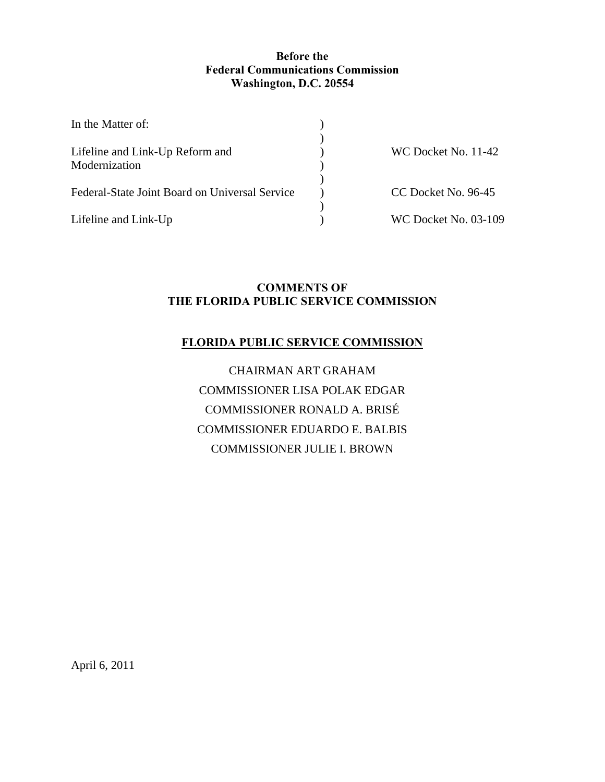## **Before the Federal Communications Commission Washington, D.C. 20554**

| In the Matter of:                              |                             |
|------------------------------------------------|-----------------------------|
|                                                |                             |
| Lifeline and Link-Up Reform and                | WC Docket No. 11-42         |
| Modernization                                  |                             |
| Federal-State Joint Board on Universal Service | CC Docket No. 96-45         |
| Lifeline and Link-Up                           | <b>WC Docket No. 03-109</b> |

## **COMMENTS OF THE FLORIDA PUBLIC SERVICE COMMISSION**

## **FLORIDA PUBLIC SERVICE COMMISSION**

CHAIRMAN ART GRAHAM COMMISSIONER LISA POLAK EDGAR COMMISSIONER RONALD A. BRISÉ COMMISSIONER EDUARDO E. BALBIS COMMISSIONER JULIE I. BROWN

April 6, 2011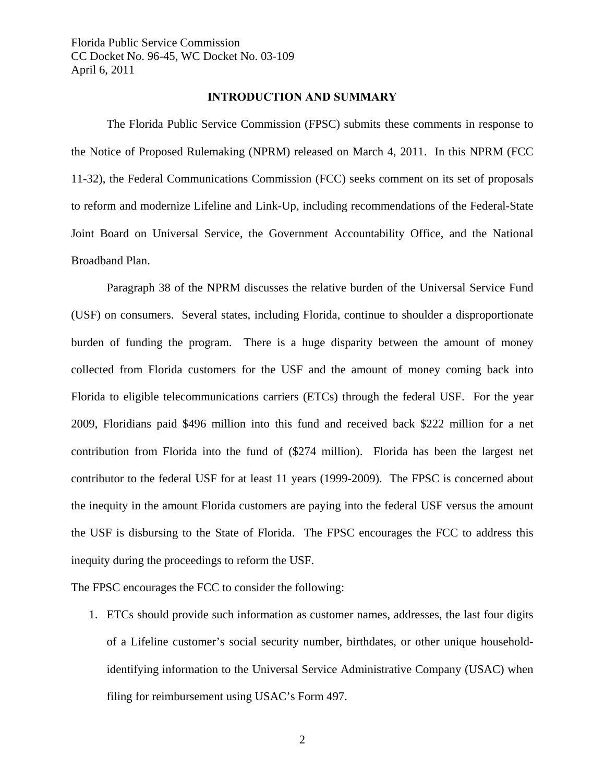#### **INTRODUCTION AND SUMMARY**

 The Florida Public Service Commission (FPSC) submits these comments in response to the Notice of Proposed Rulemaking (NPRM) released on March 4, 2011. In this NPRM (FCC 11-32), the Federal Communications Commission (FCC) seeks comment on its set of proposals to reform and modernize Lifeline and Link-Up, including recommendations of the Federal-State Joint Board on Universal Service, the Government Accountability Office, and the National Broadband Plan.

Paragraph 38 of the NPRM discusses the relative burden of the Universal Service Fund (USF) on consumers. Several states, including Florida, continue to shoulder a disproportionate burden of funding the program. There is a huge disparity between the amount of money collected from Florida customers for the USF and the amount of money coming back into Florida to eligible telecommunications carriers (ETCs) through the federal USF. For the year 2009, Floridians paid \$496 million into this fund and received back \$222 million for a net contribution from Florida into the fund of (\$274 million). Florida has been the largest net contributor to the federal USF for at least 11 years (1999-2009). The FPSC is concerned about the inequity in the amount Florida customers are paying into the federal USF versus the amount the USF is disbursing to the State of Florida. The FPSC encourages the FCC to address this inequity during the proceedings to reform the USF.

The FPSC encourages the FCC to consider the following:

1. ETCs should provide such information as customer names, addresses, the last four digits of a Lifeline customer's social security number, birthdates, or other unique householdidentifying information to the Universal Service Administrative Company (USAC) when filing for reimbursement using USAC's Form 497.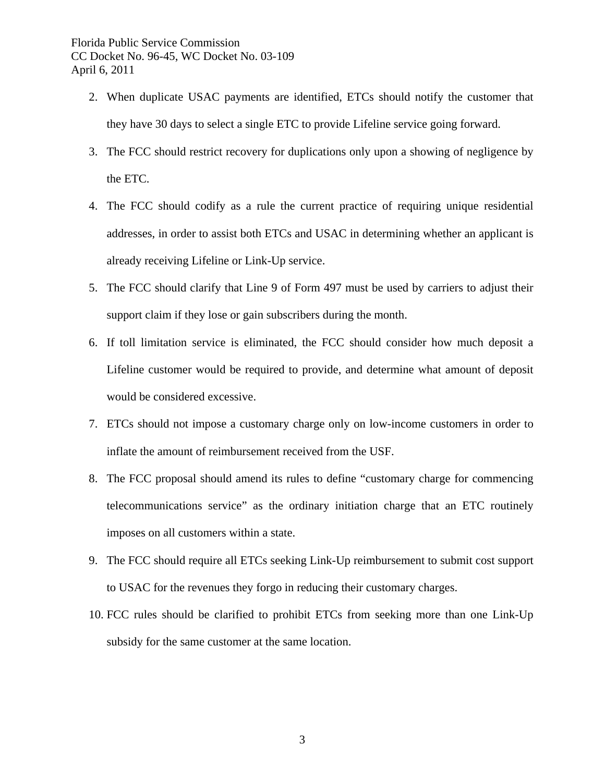- 2. When duplicate USAC payments are identified, ETCs should notify the customer that they have 30 days to select a single ETC to provide Lifeline service going forward.
- 3. The FCC should restrict recovery for duplications only upon a showing of negligence by the ETC.
- 4. The FCC should codify as a rule the current practice of requiring unique residential addresses, in order to assist both ETCs and USAC in determining whether an applicant is already receiving Lifeline or Link-Up service.
- 5. The FCC should clarify that Line 9 of Form 497 must be used by carriers to adjust their support claim if they lose or gain subscribers during the month.
- 6. If toll limitation service is eliminated, the FCC should consider how much deposit a Lifeline customer would be required to provide, and determine what amount of deposit would be considered excessive.
- 7. ETCs should not impose a customary charge only on low-income customers in order to inflate the amount of reimbursement received from the USF.
- 8. The FCC proposal should amend its rules to define "customary charge for commencing telecommunications service" as the ordinary initiation charge that an ETC routinely imposes on all customers within a state.
- 9. The FCC should require all ETCs seeking Link-Up reimbursement to submit cost support to USAC for the revenues they forgo in reducing their customary charges.
- 10. FCC rules should be clarified to prohibit ETCs from seeking more than one Link-Up subsidy for the same customer at the same location.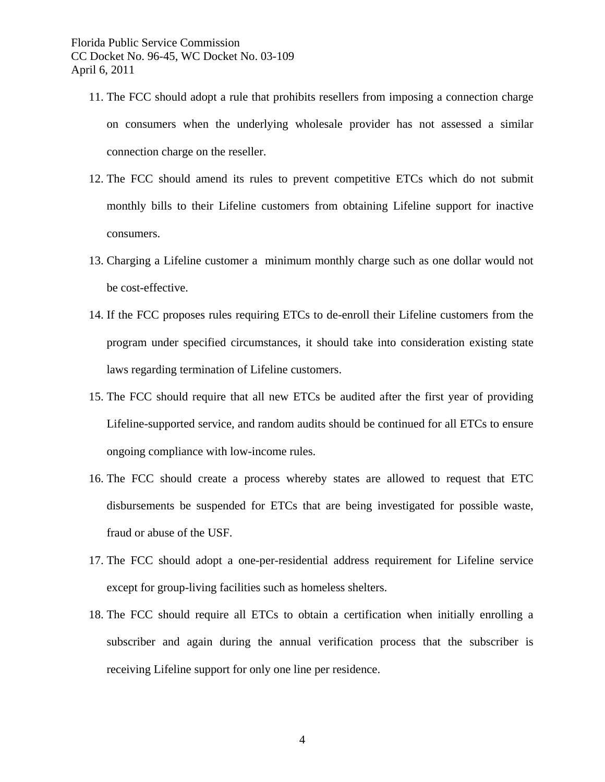- 11. The FCC should adopt a rule that prohibits resellers from imposing a connection charge on consumers when the underlying wholesale provider has not assessed a similar connection charge on the reseller.
- 12. The FCC should amend its rules to prevent competitive ETCs which do not submit monthly bills to their Lifeline customers from obtaining Lifeline support for inactive consumers.
- 13. Charging a Lifeline customer a minimum monthly charge such as one dollar would not be cost-effective.
- 14. If the FCC proposes rules requiring ETCs to de-enroll their Lifeline customers from the program under specified circumstances, it should take into consideration existing state laws regarding termination of Lifeline customers.
- 15. The FCC should require that all new ETCs be audited after the first year of providing Lifeline-supported service, and random audits should be continued for all ETCs to ensure ongoing compliance with low-income rules.
- 16. The FCC should create a process whereby states are allowed to request that ETC disbursements be suspended for ETCs that are being investigated for possible waste, fraud or abuse of the USF.
- 17. The FCC should adopt a one-per-residential address requirement for Lifeline service except for group-living facilities such as homeless shelters.
- 18. The FCC should require all ETCs to obtain a certification when initially enrolling a subscriber and again during the annual verification process that the subscriber is receiving Lifeline support for only one line per residence.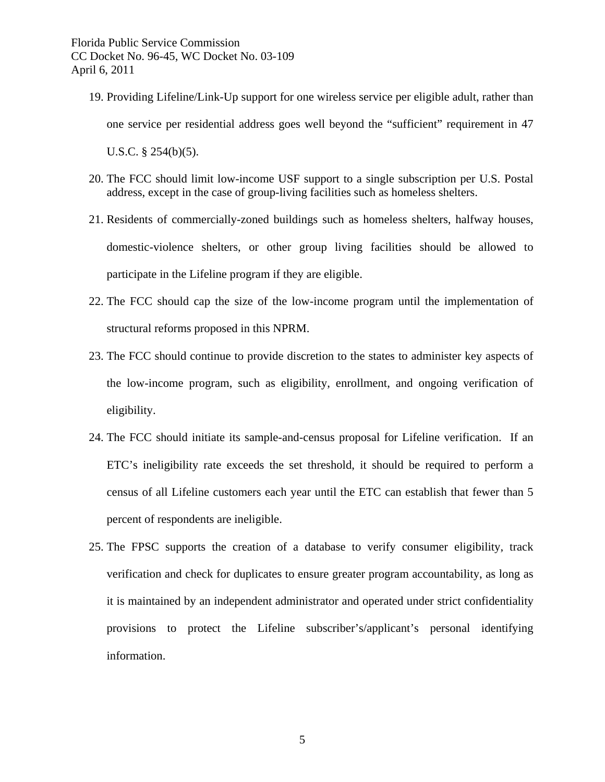- 19. Providing Lifeline/Link-Up support for one wireless service per eligible adult, rather than one service per residential address goes well beyond the "sufficient" requirement in 47 U.S.C. § 254(b)(5).
- 20. The FCC should limit low-income USF support to a single subscription per U.S. Postal address, except in the case of group-living facilities such as homeless shelters.
- 21. Residents of commercially-zoned buildings such as homeless shelters, halfway houses, domestic-violence shelters, or other group living facilities should be allowed to participate in the Lifeline program if they are eligible.
- 22. The FCC should cap the size of the low-income program until the implementation of structural reforms proposed in this NPRM.
- 23. The FCC should continue to provide discretion to the states to administer key aspects of the low-income program, such as eligibility, enrollment, and ongoing verification of eligibility.
- 24. The FCC should initiate its sample-and-census proposal for Lifeline verification. If an ETC's ineligibility rate exceeds the set threshold, it should be required to perform a census of all Lifeline customers each year until the ETC can establish that fewer than 5 percent of respondents are ineligible.
- 25. The FPSC supports the creation of a database to verify consumer eligibility, track verification and check for duplicates to ensure greater program accountability, as long as it is maintained by an independent administrator and operated under strict confidentiality provisions to protect the Lifeline subscriber's/applicant's personal identifying information.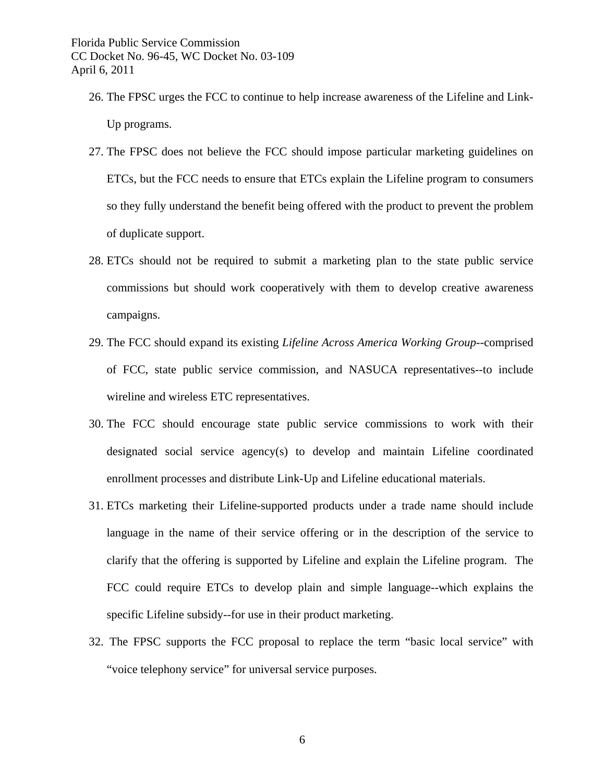- 26. The FPSC urges the FCC to continue to help increase awareness of the Lifeline and Link-Up programs.
- 27. The FPSC does not believe the FCC should impose particular marketing guidelines on ETCs, but the FCC needs to ensure that ETCs explain the Lifeline program to consumers so they fully understand the benefit being offered with the product to prevent the problem of duplicate support.
- 28. ETCs should not be required to submit a marketing plan to the state public service commissions but should work cooperatively with them to develop creative awareness campaigns.
- 29. The FCC should expand its existing *Lifeline Across America Working Group*--comprised of FCC, state public service commission, and NASUCA representatives--to include wireline and wireless ETC representatives.
- 30. The FCC should encourage state public service commissions to work with their designated social service agency(s) to develop and maintain Lifeline coordinated enrollment processes and distribute Link-Up and Lifeline educational materials.
- 31. ETCs marketing their Lifeline-supported products under a trade name should include language in the name of their service offering or in the description of the service to clarify that the offering is supported by Lifeline and explain the Lifeline program. The FCC could require ETCs to develop plain and simple language--which explains the specific Lifeline subsidy--for use in their product marketing.
- 32. The FPSC supports the FCC proposal to replace the term "basic local service" with "voice telephony service" for universal service purposes.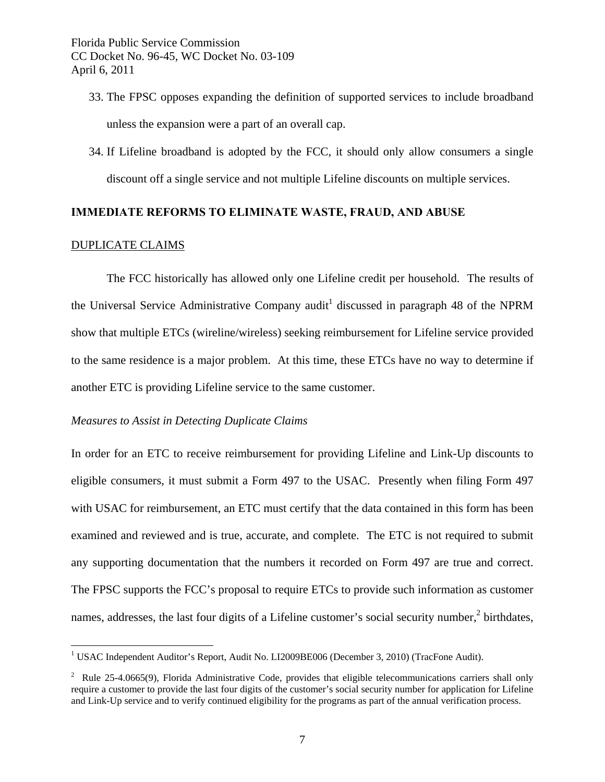- 33. The FPSC opposes expanding the definition of supported services to include broadband unless the expansion were a part of an overall cap.
- 34. If Lifeline broadband is adopted by the FCC, it should only allow consumers a single discount off a single service and not multiple Lifeline discounts on multiple services.

## **IMMEDIATE REFORMS TO ELIMINATE WASTE, FRAUD, AND ABUSE**

#### DUPLICATE CLAIMS

 $\overline{a}$ 

The FCC historically has allowed only one Lifeline credit per household. The results of the Universal Service Administrative Company audit<sup>1</sup> discussed in paragraph 48 of the NPRM show that multiple ETCs (wireline/wireless) seeking reimbursement for Lifeline service provided to the same residence is a major problem. At this time, these ETCs have no way to determine if another ETC is providing Lifeline service to the same customer.

## *Measures to Assist in Detecting Duplicate Claims*

In order for an ETC to receive reimbursement for providing Lifeline and Link-Up discounts to eligible consumers, it must submit a Form 497 to the USAC. Presently when filing Form 497 with USAC for reimbursement, an ETC must certify that the data contained in this form has been examined and reviewed and is true, accurate, and complete. The ETC is not required to submit any supporting documentation that the numbers it recorded on Form 497 are true and correct. The FPSC supports the FCC's proposal to require ETCs to provide such information as customer names, addresses, the last four digits of a Lifeline customer's social security number, $2$  birthdates,

<sup>&</sup>lt;sup>1</sup> USAC Independent Auditor's Report, Audit No. LI2009BE006 (December 3, 2010) (TracFone Audit).

<sup>&</sup>lt;sup>2</sup> Rule 25-4.0665(9), Florida Administrative Code, provides that eligible telecommunications carriers shall only require a customer to provide the last four digits of the customer's social security number for application for Lifeline and Link-Up service and to verify continued eligibility for the programs as part of the annual verification process.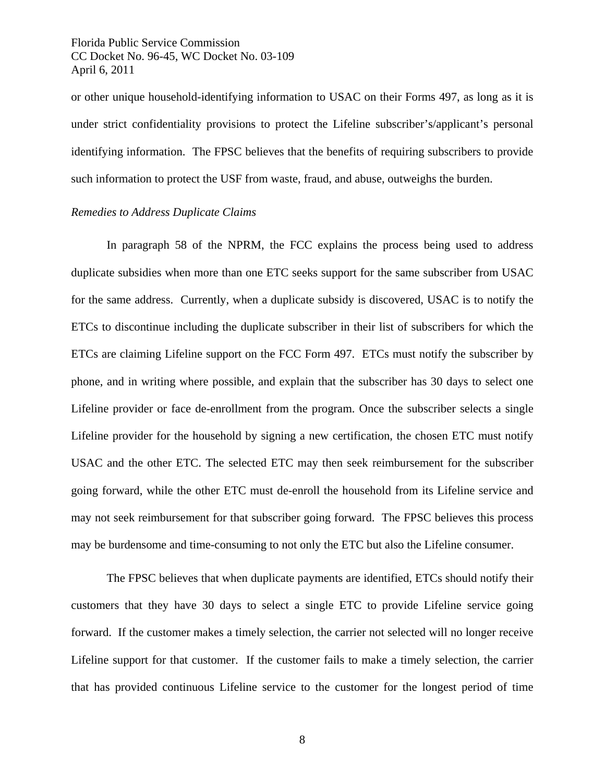or other unique household-identifying information to USAC on their Forms 497, as long as it is under strict confidentiality provisions to protect the Lifeline subscriber's/applicant's personal identifying information. The FPSC believes that the benefits of requiring subscribers to provide such information to protect the USF from waste, fraud, and abuse, outweighs the burden.

## *Remedies to Address Duplicate Claims*

In paragraph 58 of the NPRM, the FCC explains the process being used to address duplicate subsidies when more than one ETC seeks support for the same subscriber from USAC for the same address. Currently, when a duplicate subsidy is discovered, USAC is to notify the ETCs to discontinue including the duplicate subscriber in their list of subscribers for which the ETCs are claiming Lifeline support on the FCC Form 497. ETCs must notify the subscriber by phone, and in writing where possible, and explain that the subscriber has 30 days to select one Lifeline provider or face de-enrollment from the program. Once the subscriber selects a single Lifeline provider for the household by signing a new certification, the chosen ETC must notify USAC and the other ETC. The selected ETC may then seek reimbursement for the subscriber going forward, while the other ETC must de-enroll the household from its Lifeline service and may not seek reimbursement for that subscriber going forward. The FPSC believes this process may be burdensome and time-consuming to not only the ETC but also the Lifeline consumer.

The FPSC believes that when duplicate payments are identified, ETCs should notify their customers that they have 30 days to select a single ETC to provide Lifeline service going forward. If the customer makes a timely selection, the carrier not selected will no longer receive Lifeline support for that customer. If the customer fails to make a timely selection, the carrier that has provided continuous Lifeline service to the customer for the longest period of time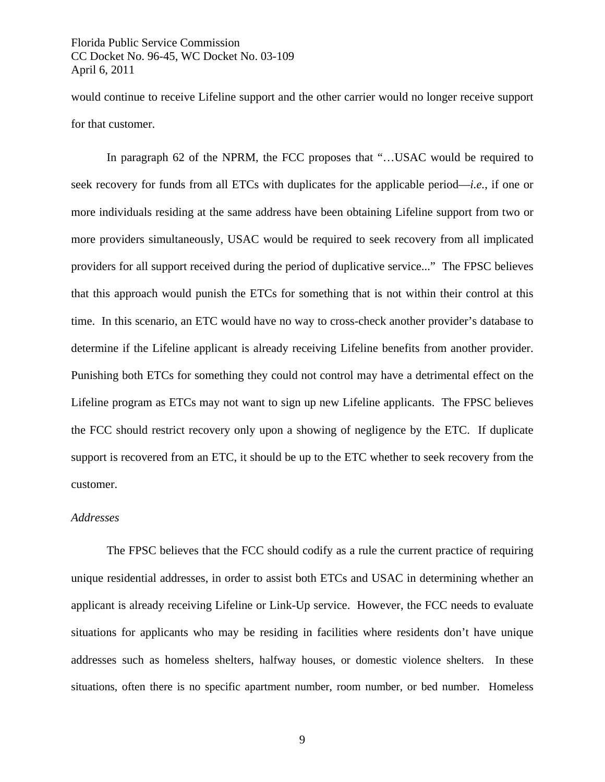would continue to receive Lifeline support and the other carrier would no longer receive support for that customer.

In paragraph 62 of the NPRM, the FCC proposes that "...USAC would be required to seek recovery for funds from all ETCs with duplicates for the applicable period—*i.e.*, if one or more individuals residing at the same address have been obtaining Lifeline support from two or more providers simultaneously, USAC would be required to seek recovery from all implicated providers for all support received during the period of duplicative service..." The FPSC believes that this approach would punish the ETCs for something that is not within their control at this time. In this scenario, an ETC would have no way to cross-check another provider's database to determine if the Lifeline applicant is already receiving Lifeline benefits from another provider. Punishing both ETCs for something they could not control may have a detrimental effect on the Lifeline program as ETCs may not want to sign up new Lifeline applicants. The FPSC believes the FCC should restrict recovery only upon a showing of negligence by the ETC. If duplicate support is recovered from an ETC, it should be up to the ETC whether to seek recovery from the customer.

## *Addresses*

The FPSC believes that the FCC should codify as a rule the current practice of requiring unique residential addresses, in order to assist both ETCs and USAC in determining whether an applicant is already receiving Lifeline or Link-Up service. However, the FCC needs to evaluate situations for applicants who may be residing in facilities where residents don't have unique addresses such as homeless shelters, halfway houses, or domestic violence shelters. In these situations, often there is no specific apartment number, room number, or bed number. Homeless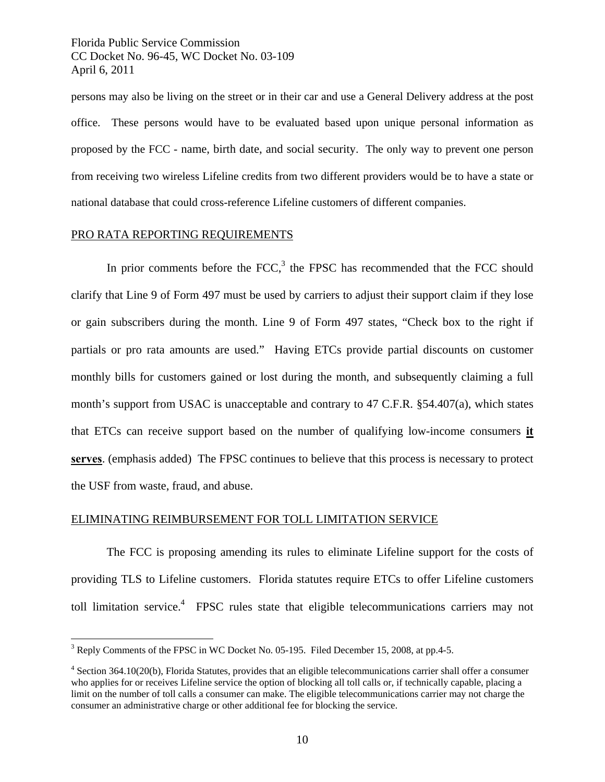persons may also be living on the street or in their car and use a General Delivery address at the post office. These persons would have to be evaluated based upon unique personal information as proposed by the FCC - name, birth date, and social security. The only way to prevent one person from receiving two wireless Lifeline credits from two different providers would be to have a state or national database that could cross-reference Lifeline customers of different companies.

## PRO RATA REPORTING REQUIREMENTS

1

In prior comments before the FCC, $3$  the FPSC has recommended that the FCC should clarify that Line 9 of Form 497 must be used by carriers to adjust their support claim if they lose or gain subscribers during the month. Line 9 of Form 497 states, "Check box to the right if partials or pro rata amounts are used." Having ETCs provide partial discounts on customer monthly bills for customers gained or lost during the month, and subsequently claiming a full month's support from USAC is unacceptable and contrary to 47 C.F.R. §54.407(a), which states that ETCs can receive support based on the number of qualifying low-income consumers **it serves**. (emphasis added) The FPSC continues to believe that this process is necessary to protect the USF from waste, fraud, and abuse.

#### ELIMINATING REIMBURSEMENT FOR TOLL LIMITATION SERVICE

The FCC is proposing amending its rules to eliminate Lifeline support for the costs of providing TLS to Lifeline customers. Florida statutes require ETCs to offer Lifeline customers toll limitation service.<sup>4</sup> FPSC rules state that eligible telecommunications carriers may not

<sup>&</sup>lt;sup>3</sup> Reply Comments of the FPSC in WC Docket No. 05-195. Filed December 15, 2008, at pp.4-5.

 $4$  Section 364.10(20(b), Florida Statutes, provides that an eligible telecommunications carrier shall offer a consumer who applies for or receives Lifeline service the option of blocking all toll calls or, if technically capable, placing a limit on the number of toll calls a consumer can make. The eligible telecommunications carrier may not charge the consumer an administrative charge or other additional fee for blocking the service.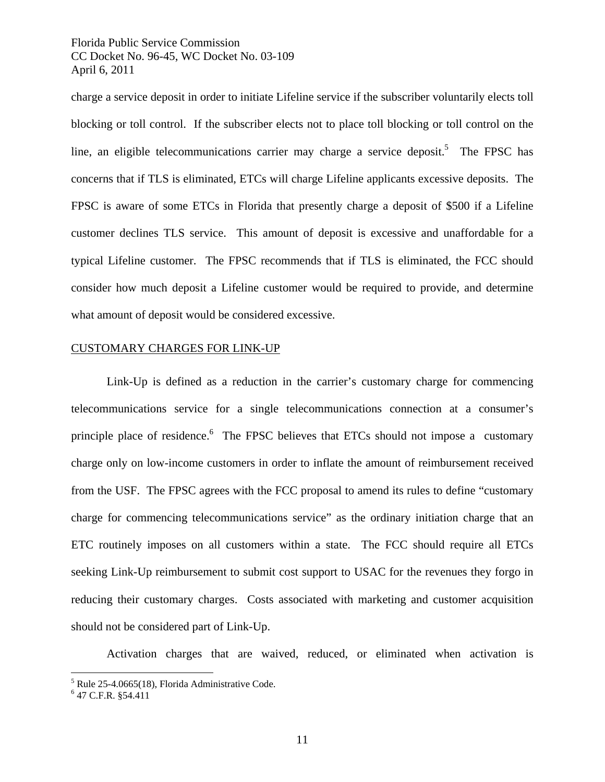charge a service deposit in order to initiate Lifeline service if the subscriber voluntarily elects toll blocking or toll control. If the subscriber elects not to place toll blocking or toll control on the line, an eligible telecommunications carrier may charge a service deposit.<sup>5</sup> The FPSC has concerns that if TLS is eliminated, ETCs will charge Lifeline applicants excessive deposits. The FPSC is aware of some ETCs in Florida that presently charge a deposit of \$500 if a Lifeline customer declines TLS service. This amount of deposit is excessive and unaffordable for a typical Lifeline customer. The FPSC recommends that if TLS is eliminated, the FCC should consider how much deposit a Lifeline customer would be required to provide, and determine what amount of deposit would be considered excessive.

## CUSTOMARY CHARGES FOR LINK-UP

 Link-Up is defined as a reduction in the carrier's customary charge for commencing telecommunications service for a single telecommunications connection at a consumer's principle place of residence. The FPSC believes that ETCs should not impose a customary charge only on low-income customers in order to inflate the amount of reimbursement received from the USF. The FPSC agrees with the FCC proposal to amend its rules to define "customary charge for commencing telecommunications service" as the ordinary initiation charge that an ETC routinely imposes on all customers within a state. The FCC should require all ETCs seeking Link-Up reimbursement to submit cost support to USAC for the revenues they forgo in reducing their customary charges. Costs associated with marketing and customer acquisition should not be considered part of Link-Up.

Activation charges that are waived, reduced, or eliminated when activation is

 $\overline{a}$ 

<sup>&</sup>lt;sup>5</sup> Rule 25-4.0665(18), Florida Administrative Code.

<sup>6</sup> 47 C.F.R. §54.411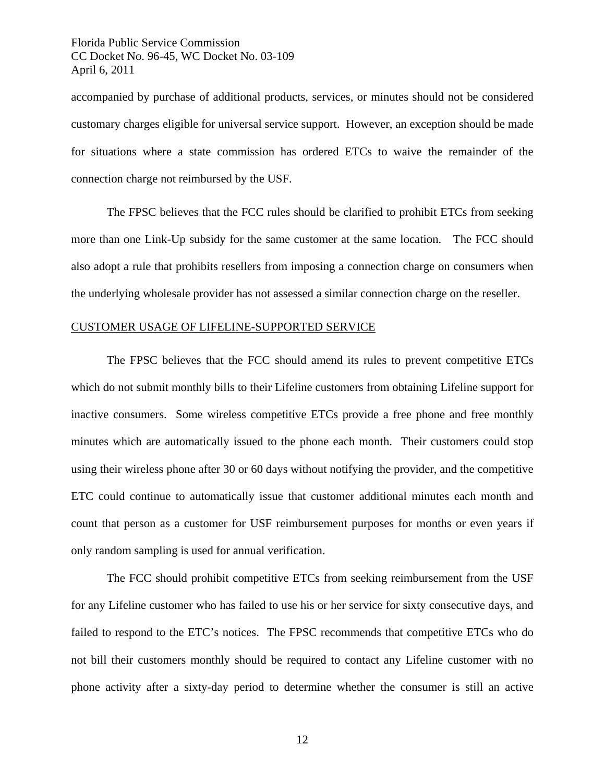accompanied by purchase of additional products, services, or minutes should not be considered customary charges eligible for universal service support. However, an exception should be made for situations where a state commission has ordered ETCs to waive the remainder of the connection charge not reimbursed by the USF.

The FPSC believes that the FCC rules should be clarified to prohibit ETCs from seeking more than one Link-Up subsidy for the same customer at the same location. The FCC should also adopt a rule that prohibits resellers from imposing a connection charge on consumers when the underlying wholesale provider has not assessed a similar connection charge on the reseller.

## CUSTOMER USAGE OF LIFELINE-SUPPORTED SERVICE

The FPSC believes that the FCC should amend its rules to prevent competitive ETCs which do not submit monthly bills to their Lifeline customers from obtaining Lifeline support for inactive consumers. Some wireless competitive ETCs provide a free phone and free monthly minutes which are automatically issued to the phone each month. Their customers could stop using their wireless phone after 30 or 60 days without notifying the provider, and the competitive ETC could continue to automatically issue that customer additional minutes each month and count that person as a customer for USF reimbursement purposes for months or even years if only random sampling is used for annual verification.

The FCC should prohibit competitive ETCs from seeking reimbursement from the USF for any Lifeline customer who has failed to use his or her service for sixty consecutive days, and failed to respond to the ETC's notices. The FPSC recommends that competitive ETCs who do not bill their customers monthly should be required to contact any Lifeline customer with no phone activity after a sixty-day period to determine whether the consumer is still an active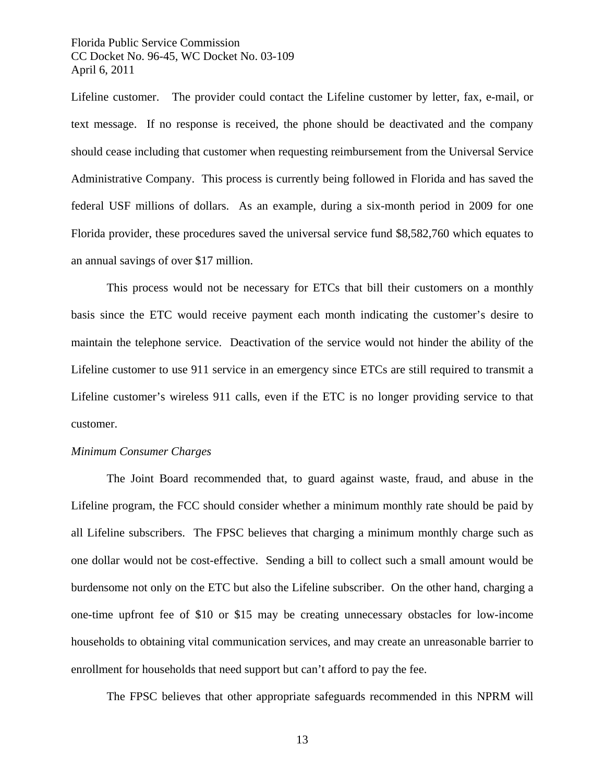Lifeline customer. The provider could contact the Lifeline customer by letter, fax, e-mail, or text message. If no response is received, the phone should be deactivated and the company should cease including that customer when requesting reimbursement from the Universal Service Administrative Company. This process is currently being followed in Florida and has saved the federal USF millions of dollars. As an example, during a six-month period in 2009 for one Florida provider, these procedures saved the universal service fund \$8,582,760 which equates to an annual savings of over \$17 million.

This process would not be necessary for ETCs that bill their customers on a monthly basis since the ETC would receive payment each month indicating the customer's desire to maintain the telephone service. Deactivation of the service would not hinder the ability of the Lifeline customer to use 911 service in an emergency since ETCs are still required to transmit a Lifeline customer's wireless 911 calls, even if the ETC is no longer providing service to that customer.

## *Minimum Consumer Charges*

The Joint Board recommended that, to guard against waste, fraud, and abuse in the Lifeline program, the FCC should consider whether a minimum monthly rate should be paid by all Lifeline subscribers. The FPSC believes that charging a minimum monthly charge such as one dollar would not be cost-effective. Sending a bill to collect such a small amount would be burdensome not only on the ETC but also the Lifeline subscriber. On the other hand, charging a one-time upfront fee of \$10 or \$15 may be creating unnecessary obstacles for low-income households to obtaining vital communication services, and may create an unreasonable barrier to enrollment for households that need support but can't afford to pay the fee.

The FPSC believes that other appropriate safeguards recommended in this NPRM will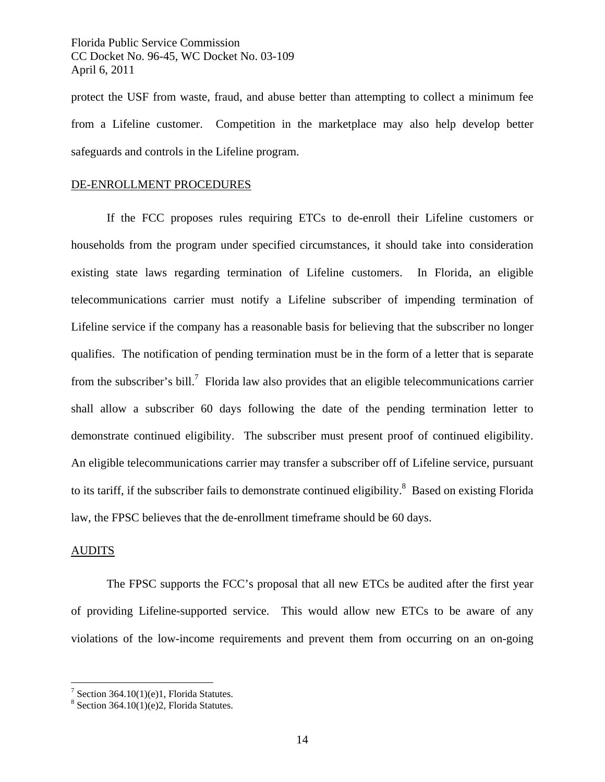protect the USF from waste, fraud, and abuse better than attempting to collect a minimum fee from a Lifeline customer. Competition in the marketplace may also help develop better safeguards and controls in the Lifeline program.

## DE-ENROLLMENT PROCEDURES

If the FCC proposes rules requiring ETCs to de-enroll their Lifeline customers or households from the program under specified circumstances, it should take into consideration existing state laws regarding termination of Lifeline customers. In Florida, an eligible telecommunications carrier must notify a Lifeline subscriber of impending termination of Lifeline service if the company has a reasonable basis for believing that the subscriber no longer qualifies. The notification of pending termination must be in the form of a letter that is separate from the subscriber's bill.<sup>7</sup> Florida law also provides that an eligible telecommunications carrier shall allow a subscriber 60 days following the date of the pending termination letter to demonstrate continued eligibility. The subscriber must present proof of continued eligibility. An eligible telecommunications carrier may transfer a subscriber off of Lifeline service, pursuant to its tariff, if the subscriber fails to demonstrate continued eligibility.<sup>8</sup> Based on existing Florida law, the FPSC believes that the de-enrollment timeframe should be 60 days.

## AUDITS

 $\overline{a}$ 

 The FPSC supports the FCC's proposal that all new ETCs be audited after the first year of providing Lifeline-supported service. This would allow new ETCs to be aware of any violations of the low-income requirements and prevent them from occurring on an on-going

<sup>&</sup>lt;sup>7</sup> Section 364.10(1)(e)1, Florida Statutes.

 $8$  Section 364.10(1)(e)2, Florida Statutes.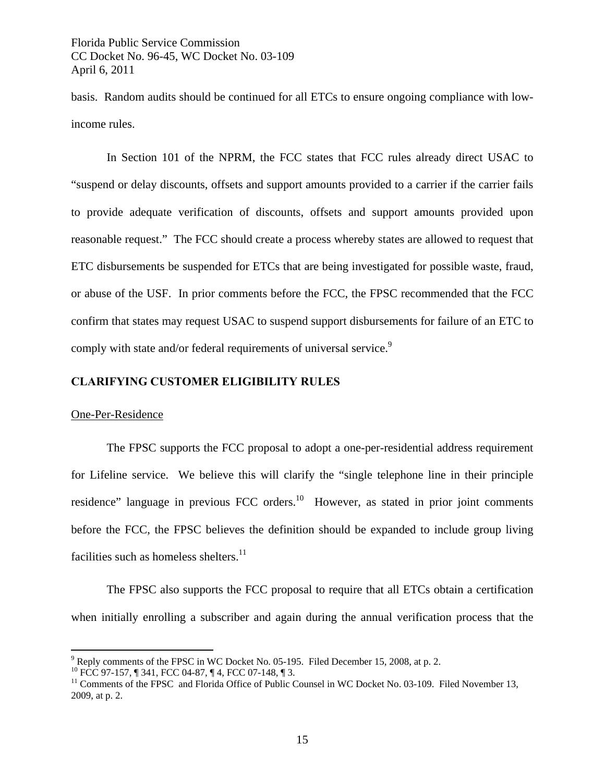basis. Random audits should be continued for all ETCs to ensure ongoing compliance with lowincome rules.

In Section 101 of the NPRM, the FCC states that FCC rules already direct USAC to "suspend or delay discounts, offsets and support amounts provided to a carrier if the carrier fails to provide adequate verification of discounts, offsets and support amounts provided upon reasonable request." The FCC should create a process whereby states are allowed to request that ETC disbursements be suspended for ETCs that are being investigated for possible waste, fraud, or abuse of the USF. In prior comments before the FCC, the FPSC recommended that the FCC confirm that states may request USAC to suspend support disbursements for failure of an ETC to comply with state and/or federal requirements of universal service.<sup>9</sup>

## **CLARIFYING CUSTOMER ELIGIBILITY RULES**

## One-Per-Residence

 $\overline{a}$ 

The FPSC supports the FCC proposal to adopt a one-per-residential address requirement for Lifeline service. We believe this will clarify the "single telephone line in their principle residence" language in previous FCC orders.<sup>10</sup> However, as stated in prior joint comments before the FCC, the FPSC believes the definition should be expanded to include group living facilities such as homeless shelters. $^{11}$ 

The FPSC also supports the FCC proposal to require that all ETCs obtain a certification when initially enrolling a subscriber and again during the annual verification process that the

 $9^9$  Reply comments of the FPSC in WC Docket No. 05-195. Filed December 15, 2008, at p. 2.

<sup>&</sup>lt;sup>10</sup> FCC 97-157,  $\parallel$  341, FCC 04-87,  $\parallel$  4, FCC 07-148,  $\parallel$  3.<br><sup>11</sup> Comments of the FPSC and Florida Office of Public Counsel in WC Docket No. 03-109. Filed November 13, 2009, at p. 2.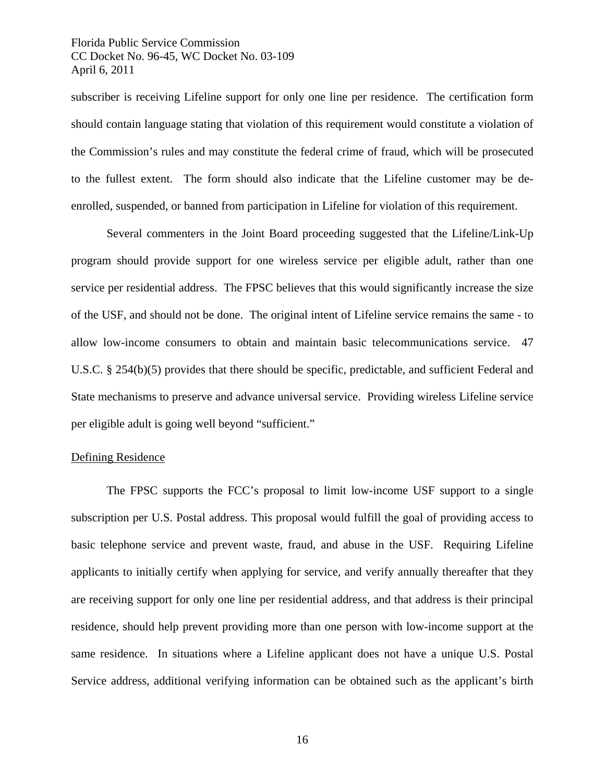subscriber is receiving Lifeline support for only one line per residence. The certification form should contain language stating that violation of this requirement would constitute a violation of the Commission's rules and may constitute the federal crime of fraud, which will be prosecuted to the fullest extent. The form should also indicate that the Lifeline customer may be deenrolled, suspended, or banned from participation in Lifeline for violation of this requirement.

Several commenters in the Joint Board proceeding suggested that the Lifeline/Link-Up program should provide support for one wireless service per eligible adult, rather than one service per residential address. The FPSC believes that this would significantly increase the size of the USF, and should not be done. The original intent of Lifeline service remains the same - to allow low-income consumers to obtain and maintain basic telecommunications service. 47 U.S.C. § 254(b)(5) provides that there should be specific, predictable, and sufficient Federal and State mechanisms to preserve and advance universal service. Providing wireless Lifeline service per eligible adult is going well beyond "sufficient."

## Defining Residence

The FPSC supports the FCC's proposal to limit low-income USF support to a single subscription per U.S. Postal address. This proposal would fulfill the goal of providing access to basic telephone service and prevent waste, fraud, and abuse in the USF. Requiring Lifeline applicants to initially certify when applying for service, and verify annually thereafter that they are receiving support for only one line per residential address, and that address is their principal residence, should help prevent providing more than one person with low-income support at the same residence. In situations where a Lifeline applicant does not have a unique U.S. Postal Service address, additional verifying information can be obtained such as the applicant's birth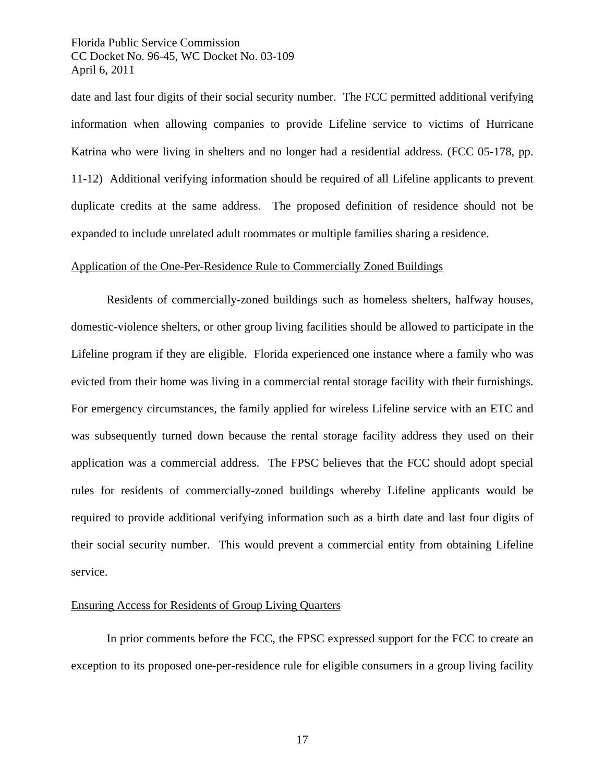date and last four digits of their social security number. The FCC permitted additional verifying information when allowing companies to provide Lifeline service to victims of Hurricane Katrina who were living in shelters and no longer had a residential address. (FCC 05-178, pp. 11-12) Additional verifying information should be required of all Lifeline applicants to prevent duplicate credits at the same address. The proposed definition of residence should not be expanded to include unrelated adult roommates or multiple families sharing a residence.

## Application of the One-Per-Residence Rule to Commercially Zoned Buildings

Residents of commercially-zoned buildings such as homeless shelters, halfway houses, domestic-violence shelters, or other group living facilities should be allowed to participate in the Lifeline program if they are eligible. Florida experienced one instance where a family who was evicted from their home was living in a commercial rental storage facility with their furnishings. For emergency circumstances, the family applied for wireless Lifeline service with an ETC and was subsequently turned down because the rental storage facility address they used on their application was a commercial address. The FPSC believes that the FCC should adopt special rules for residents of commercially-zoned buildings whereby Lifeline applicants would be required to provide additional verifying information such as a birth date and last four digits of their social security number. This would prevent a commercial entity from obtaining Lifeline service.

#### Ensuring Access for Residents of Group Living Quarters

In prior comments before the FCC, the FPSC expressed support for the FCC to create an exception to its proposed one-per-residence rule for eligible consumers in a group living facility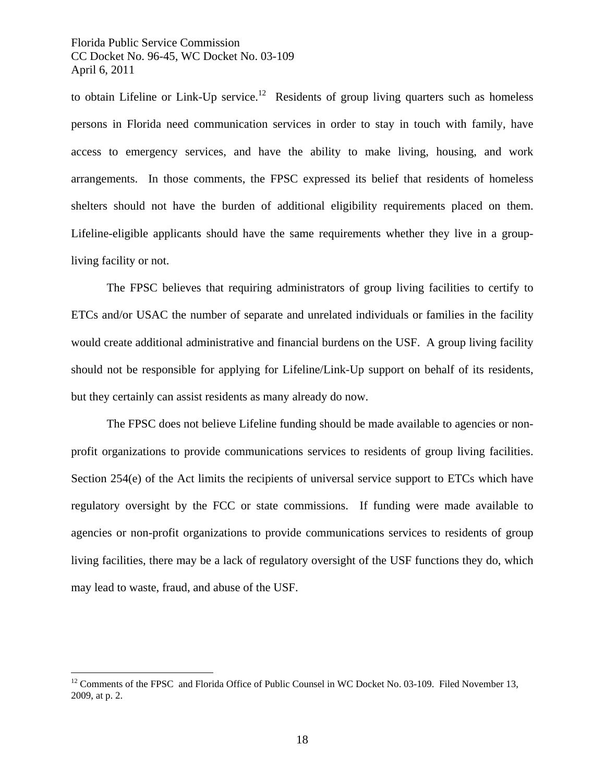to obtain Lifeline or Link-Up service.<sup>12</sup> Residents of group living quarters such as homeless persons in Florida need communication services in order to stay in touch with family, have access to emergency services, and have the ability to make living, housing, and work arrangements. In those comments, the FPSC expressed its belief that residents of homeless shelters should not have the burden of additional eligibility requirements placed on them. Lifeline-eligible applicants should have the same requirements whether they live in a groupliving facility or not.

The FPSC believes that requiring administrators of group living facilities to certify to ETCs and/or USAC the number of separate and unrelated individuals or families in the facility would create additional administrative and financial burdens on the USF. A group living facility should not be responsible for applying for Lifeline/Link-Up support on behalf of its residents, but they certainly can assist residents as many already do now.

The FPSC does not believe Lifeline funding should be made available to agencies or nonprofit organizations to provide communications services to residents of group living facilities. Section 254(e) of the Act limits the recipients of universal service support to ETCs which have regulatory oversight by the FCC or state commissions. If funding were made available to agencies or non-profit organizations to provide communications services to residents of group living facilities, there may be a lack of regulatory oversight of the USF functions they do, which may lead to waste, fraud, and abuse of the USF.

 $\overline{a}$ 

 $12$  Comments of the FPSC and Florida Office of Public Counsel in WC Docket No. 03-109. Filed November 13, 2009, at p. 2.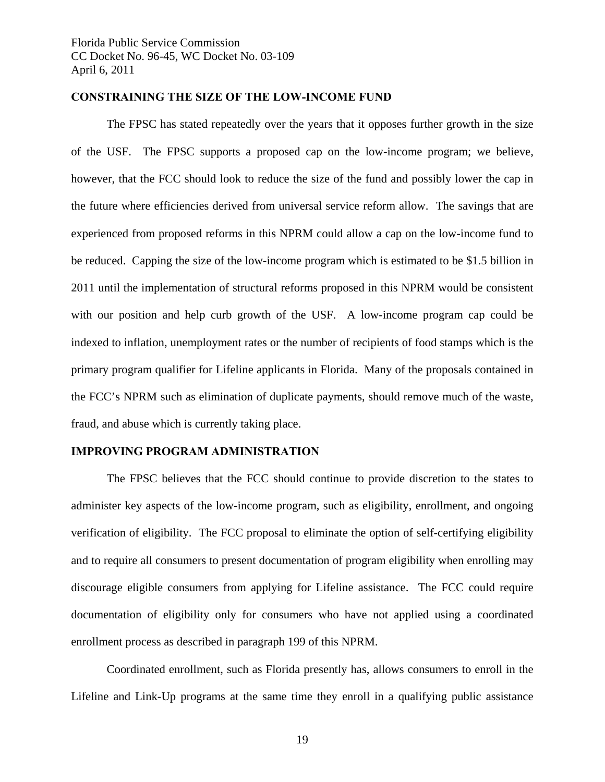## **CONSTRAINING THE SIZE OF THE LOW-INCOME FUND**

 The FPSC has stated repeatedly over the years that it opposes further growth in the size of the USF. The FPSC supports a proposed cap on the low-income program; we believe, however, that the FCC should look to reduce the size of the fund and possibly lower the cap in the future where efficiencies derived from universal service reform allow. The savings that are experienced from proposed reforms in this NPRM could allow a cap on the low-income fund to be reduced. Capping the size of the low-income program which is estimated to be \$1.5 billion in 2011 until the implementation of structural reforms proposed in this NPRM would be consistent with our position and help curb growth of the USF. A low-income program cap could be indexed to inflation, unemployment rates or the number of recipients of food stamps which is the primary program qualifier for Lifeline applicants in Florida. Many of the proposals contained in the FCC's NPRM such as elimination of duplicate payments, should remove much of the waste, fraud, and abuse which is currently taking place.

## **IMPROVING PROGRAM ADMINISTRATION**

The FPSC believes that the FCC should continue to provide discretion to the states to administer key aspects of the low-income program, such as eligibility, enrollment, and ongoing verification of eligibility. The FCC proposal to eliminate the option of self-certifying eligibility and to require all consumers to present documentation of program eligibility when enrolling may discourage eligible consumers from applying for Lifeline assistance. The FCC could require documentation of eligibility only for consumers who have not applied using a coordinated enrollment process as described in paragraph 199 of this NPRM.

Coordinated enrollment, such as Florida presently has, allows consumers to enroll in the Lifeline and Link-Up programs at the same time they enroll in a qualifying public assistance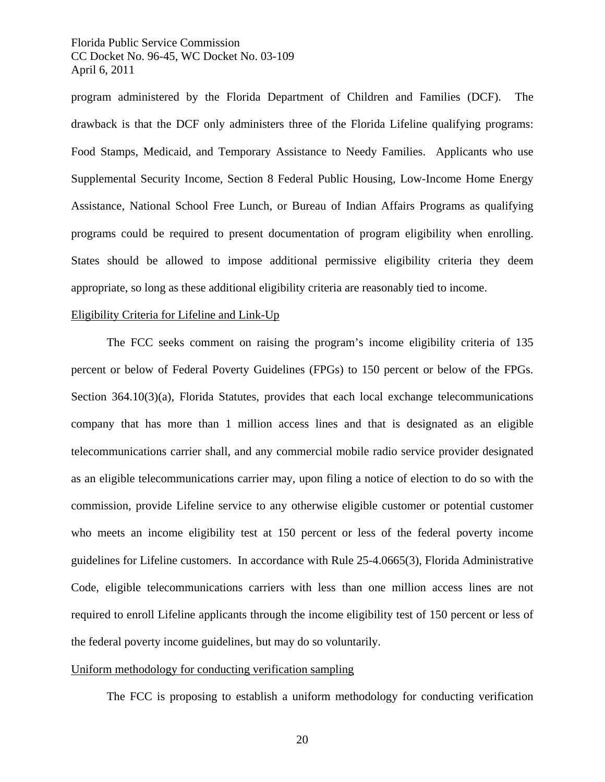program administered by the Florida Department of Children and Families (DCF). The drawback is that the DCF only administers three of the Florida Lifeline qualifying programs: Food Stamps, Medicaid, and Temporary Assistance to Needy Families. Applicants who use Supplemental Security Income, Section 8 Federal Public Housing, Low-Income Home Energy Assistance, National School Free Lunch, or Bureau of Indian Affairs Programs as qualifying programs could be required to present documentation of program eligibility when enrolling. States should be allowed to impose additional permissive eligibility criteria they deem appropriate, so long as these additional eligibility criteria are reasonably tied to income.

#### Eligibility Criteria for Lifeline and Link-Up

The FCC seeks comment on raising the program's income eligibility criteria of 135 percent or below of Federal Poverty Guidelines (FPGs) to 150 percent or below of the FPGs. Section 364.10(3)(a), Florida Statutes, provides that each local exchange telecommunications company that has more than 1 million access lines and that is designated as an eligible telecommunications carrier shall, and any commercial mobile radio service provider designated as an eligible telecommunications carrier may, upon filing a notice of election to do so with the commission, provide Lifeline service to any otherwise eligible customer or potential customer who meets an income eligibility test at 150 percent or less of the federal poverty income guidelines for Lifeline customers. In accordance with Rule 25-4.0665(3), Florida Administrative Code, eligible telecommunications carriers with less than one million access lines are not required to enroll Lifeline applicants through the income eligibility test of 150 percent or less of the federal poverty income guidelines, but may do so voluntarily.

#### Uniform methodology for conducting verification sampling

The FCC is proposing to establish a uniform methodology for conducting verification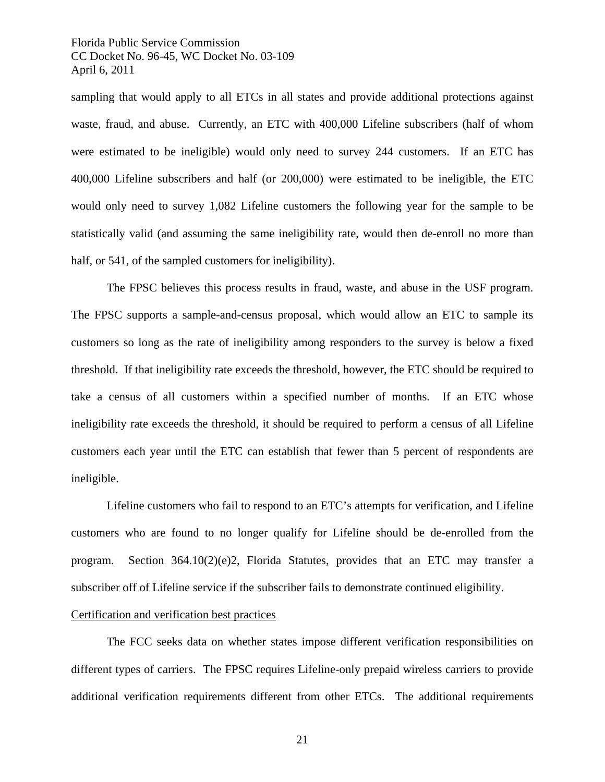sampling that would apply to all ETCs in all states and provide additional protections against waste, fraud, and abuse. Currently, an ETC with 400,000 Lifeline subscribers (half of whom were estimated to be ineligible) would only need to survey 244 customers. If an ETC has 400,000 Lifeline subscribers and half (or 200,000) were estimated to be ineligible, the ETC would only need to survey 1,082 Lifeline customers the following year for the sample to be statistically valid (and assuming the same ineligibility rate, would then de-enroll no more than half, or 541, of the sampled customers for ineligibility).

The FPSC believes this process results in fraud, waste, and abuse in the USF program. The FPSC supports a sample-and-census proposal, which would allow an ETC to sample its customers so long as the rate of ineligibility among responders to the survey is below a fixed threshold. If that ineligibility rate exceeds the threshold, however, the ETC should be required to take a census of all customers within a specified number of months. If an ETC whose ineligibility rate exceeds the threshold, it should be required to perform a census of all Lifeline customers each year until the ETC can establish that fewer than 5 percent of respondents are ineligible.

Lifeline customers who fail to respond to an ETC's attempts for verification, and Lifeline customers who are found to no longer qualify for Lifeline should be de-enrolled from the program. Section  $364.10(2)(e)2$ , Florida Statutes, provides that an ETC may transfer a subscriber off of Lifeline service if the subscriber fails to demonstrate continued eligibility.

## Certification and verification best practices

The FCC seeks data on whether states impose different verification responsibilities on different types of carriers. The FPSC requires Lifeline-only prepaid wireless carriers to provide additional verification requirements different from other ETCs. The additional requirements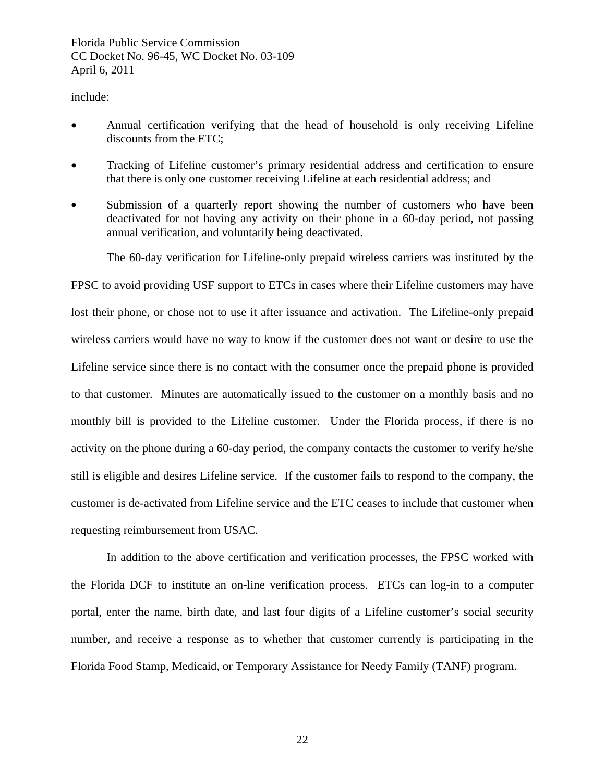## include:

- Annual certification verifying that the head of household is only receiving Lifeline discounts from the ETC;
- Tracking of Lifeline customer's primary residential address and certification to ensure that there is only one customer receiving Lifeline at each residential address; and
- Submission of a quarterly report showing the number of customers who have been deactivated for not having any activity on their phone in a 60-day period, not passing annual verification, and voluntarily being deactivated.

The 60-day verification for Lifeline-only prepaid wireless carriers was instituted by the

FPSC to avoid providing USF support to ETCs in cases where their Lifeline customers may have lost their phone, or chose not to use it after issuance and activation. The Lifeline-only prepaid wireless carriers would have no way to know if the customer does not want or desire to use the Lifeline service since there is no contact with the consumer once the prepaid phone is provided to that customer. Minutes are automatically issued to the customer on a monthly basis and no monthly bill is provided to the Lifeline customer. Under the Florida process, if there is no activity on the phone during a 60-day period, the company contacts the customer to verify he/she still is eligible and desires Lifeline service. If the customer fails to respond to the company, the customer is de-activated from Lifeline service and the ETC ceases to include that customer when requesting reimbursement from USAC.

In addition to the above certification and verification processes, the FPSC worked with the Florida DCF to institute an on-line verification process. ETCs can log-in to a computer portal, enter the name, birth date, and last four digits of a Lifeline customer's social security number, and receive a response as to whether that customer currently is participating in the Florida Food Stamp, Medicaid, or Temporary Assistance for Needy Family (TANF) program.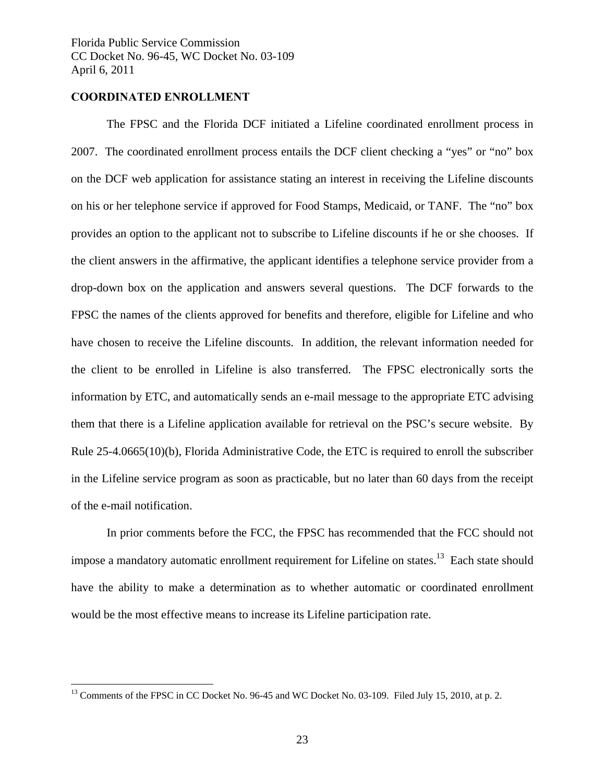## **COORDINATED ENROLLMENT**

 $\overline{a}$ 

 The FPSC and the Florida DCF initiated a Lifeline coordinated enrollment process in 2007. The coordinated enrollment process entails the DCF client checking a "yes" or "no" box on the DCF web application for assistance stating an interest in receiving the Lifeline discounts on his or her telephone service if approved for Food Stamps, Medicaid, or TANF. The "no" box provides an option to the applicant not to subscribe to Lifeline discounts if he or she chooses. If the client answers in the affirmative, the applicant identifies a telephone service provider from a drop-down box on the application and answers several questions. The DCF forwards to the FPSC the names of the clients approved for benefits and therefore, eligible for Lifeline and who have chosen to receive the Lifeline discounts. In addition, the relevant information needed for the client to be enrolled in Lifeline is also transferred. The FPSC electronically sorts the information by ETC, and automatically sends an e-mail message to the appropriate ETC advising them that there is a Lifeline application available for retrieval on the PSC's secure website. By Rule 25-4.0665(10)(b), Florida Administrative Code, the ETC is required to enroll the subscriber in the Lifeline service program as soon as practicable, but no later than 60 days from the receipt of the e-mail notification.

In prior comments before the FCC, the FPSC has recommended that the FCC should not impose a mandatory automatic enrollment requirement for Lifeline on states.<sup>13</sup> Each state should have the ability to make a determination as to whether automatic or coordinated enrollment would be the most effective means to increase its Lifeline participation rate.

<sup>&</sup>lt;sup>13</sup> Comments of the FPSC in CC Docket No. 96-45 and WC Docket No. 03-109. Filed July 15, 2010, at p. 2.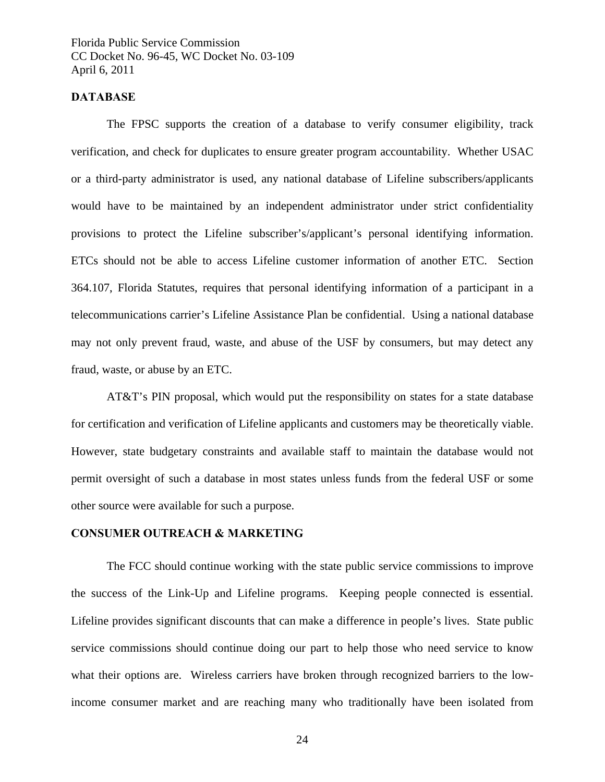## **DATABASE**

The FPSC supports the creation of a database to verify consumer eligibility, track verification, and check for duplicates to ensure greater program accountability. Whether USAC or a third-party administrator is used, any national database of Lifeline subscribers/applicants would have to be maintained by an independent administrator under strict confidentiality provisions to protect the Lifeline subscriber's/applicant's personal identifying information. ETCs should not be able to access Lifeline customer information of another ETC. Section 364.107, Florida Statutes, requires that personal identifying information of a participant in a telecommunications carrier's Lifeline Assistance Plan be confidential. Using a national database may not only prevent fraud, waste, and abuse of the USF by consumers, but may detect any fraud, waste, or abuse by an ETC.

AT&T's PIN proposal, which would put the responsibility on states for a state database for certification and verification of Lifeline applicants and customers may be theoretically viable. However, state budgetary constraints and available staff to maintain the database would not permit oversight of such a database in most states unless funds from the federal USF or some other source were available for such a purpose.

## **CONSUMER OUTREACH & MARKETING**

The FCC should continue working with the state public service commissions to improve the success of the Link-Up and Lifeline programs. Keeping people connected is essential. Lifeline provides significant discounts that can make a difference in people's lives. State public service commissions should continue doing our part to help those who need service to know what their options are. Wireless carriers have broken through recognized barriers to the lowincome consumer market and are reaching many who traditionally have been isolated from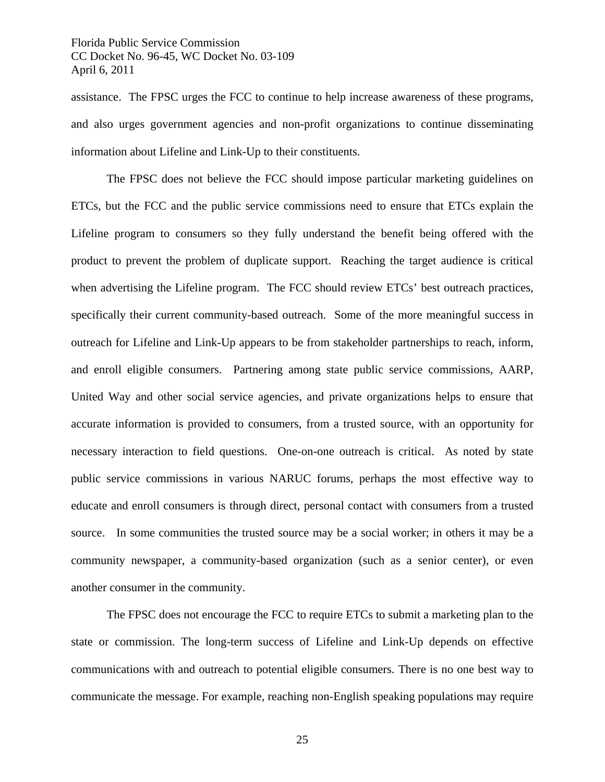assistance. The FPSC urges the FCC to continue to help increase awareness of these programs, and also urges government agencies and non-profit organizations to continue disseminating information about Lifeline and Link-Up to their constituents.

The FPSC does not believe the FCC should impose particular marketing guidelines on ETCs, but the FCC and the public service commissions need to ensure that ETCs explain the Lifeline program to consumers so they fully understand the benefit being offered with the product to prevent the problem of duplicate support. Reaching the target audience is critical when advertising the Lifeline program. The FCC should review ETCs' best outreach practices, specifically their current community-based outreach. Some of the more meaningful success in outreach for Lifeline and Link-Up appears to be from stakeholder partnerships to reach, inform, and enroll eligible consumers. Partnering among state public service commissions, AARP, United Way and other social service agencies, and private organizations helps to ensure that accurate information is provided to consumers, from a trusted source, with an opportunity for necessary interaction to field questions. One-on-one outreach is critical. As noted by state public service commissions in various NARUC forums, perhaps the most effective way to educate and enroll consumers is through direct, personal contact with consumers from a trusted source. In some communities the trusted source may be a social worker; in others it may be a community newspaper, a community-based organization (such as a senior center), or even another consumer in the community.

The FPSC does not encourage the FCC to require ETCs to submit a marketing plan to the state or commission. The long-term success of Lifeline and Link-Up depends on effective communications with and outreach to potential eligible consumers. There is no one best way to communicate the message. For example, reaching non-English speaking populations may require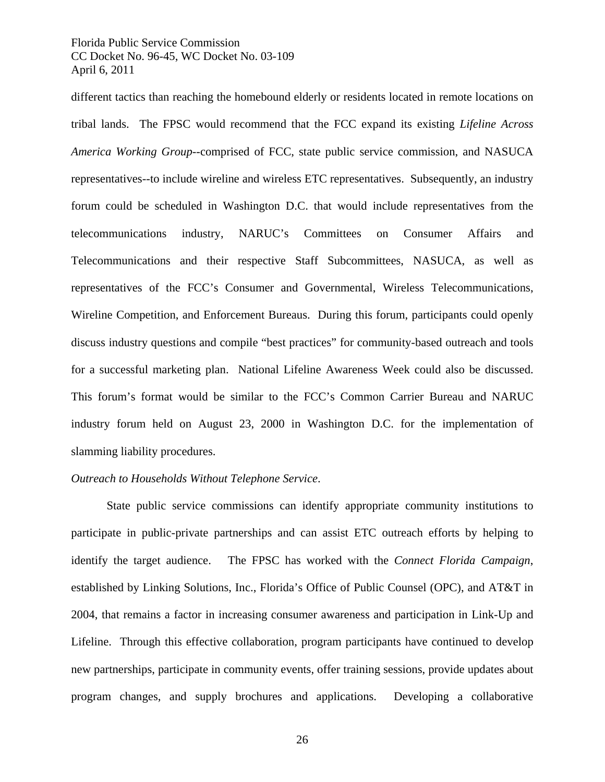different tactics than reaching the homebound elderly or residents located in remote locations on tribal lands. The FPSC would recommend that the FCC expand its existing *Lifeline Across America Working Group*--comprised of FCC, state public service commission, and NASUCA representatives--to include wireline and wireless ETC representatives. Subsequently, an industry forum could be scheduled in Washington D.C. that would include representatives from the telecommunications industry, NARUC's Committees on Consumer Affairs and Telecommunications and their respective Staff Subcommittees, NASUCA, as well as representatives of the FCC's Consumer and Governmental, Wireless Telecommunications, Wireline Competition, and Enforcement Bureaus. During this forum, participants could openly discuss industry questions and compile "best practices" for community-based outreach and tools for a successful marketing plan. National Lifeline Awareness Week could also be discussed. This forum's format would be similar to the FCC's Common Carrier Bureau and NARUC industry forum held on August 23, 2000 in Washington D.C. for the implementation of slamming liability procedures.

## *Outreach to Households Without Telephone Service*.

State public service commissions can identify appropriate community institutions to participate in public-private partnerships and can assist ETC outreach efforts by helping to identify the target audience. The FPSC has worked with the *Connect Florida Campaign*, established by Linking Solutions, Inc., Florida's Office of Public Counsel (OPC), and AT&T in 2004, that remains a factor in increasing consumer awareness and participation in Link-Up and Lifeline. Through this effective collaboration, program participants have continued to develop new partnerships, participate in community events, offer training sessions, provide updates about program changes, and supply brochures and applications. Developing a collaborative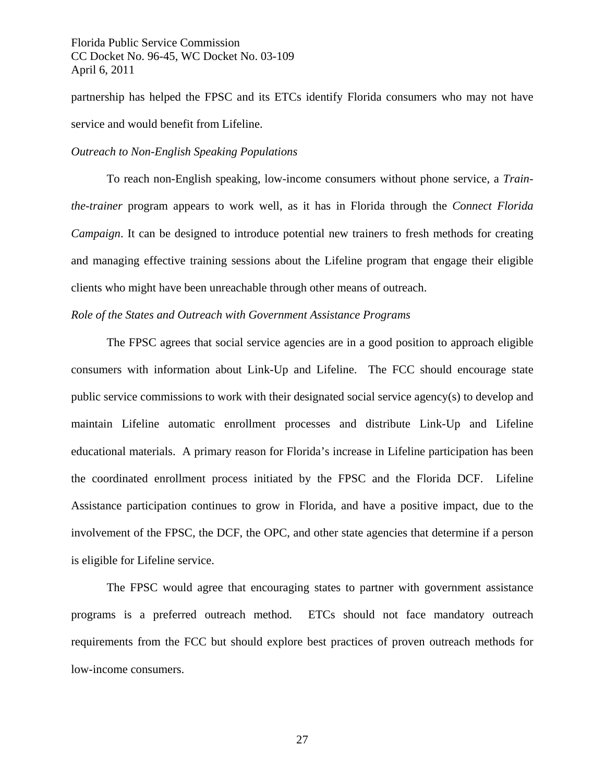partnership has helped the FPSC and its ETCs identify Florida consumers who may not have service and would benefit from Lifeline.

## *Outreach to Non-English Speaking Populations*

 To reach non-English speaking, low-income consumers without phone service, a *Trainthe-trainer* program appears to work well, as it has in Florida through the *Connect Florida Campaign*. It can be designed to introduce potential new trainers to fresh methods for creating and managing effective training sessions about the Lifeline program that engage their eligible clients who might have been unreachable through other means of outreach.

#### *Role of the States and Outreach with Government Assistance Programs*

The FPSC agrees that social service agencies are in a good position to approach eligible consumers with information about Link-Up and Lifeline. The FCC should encourage state public service commissions to work with their designated social service agency(s) to develop and maintain Lifeline automatic enrollment processes and distribute Link-Up and Lifeline educational materials. A primary reason for Florida's increase in Lifeline participation has been the coordinated enrollment process initiated by the FPSC and the Florida DCF. Lifeline Assistance participation continues to grow in Florida, and have a positive impact, due to the involvement of the FPSC, the DCF, the OPC, and other state agencies that determine if a person is eligible for Lifeline service.

The FPSC would agree that encouraging states to partner with government assistance programs is a preferred outreach method. ETCs should not face mandatory outreach requirements from the FCC but should explore best practices of proven outreach methods for low-income consumers.

27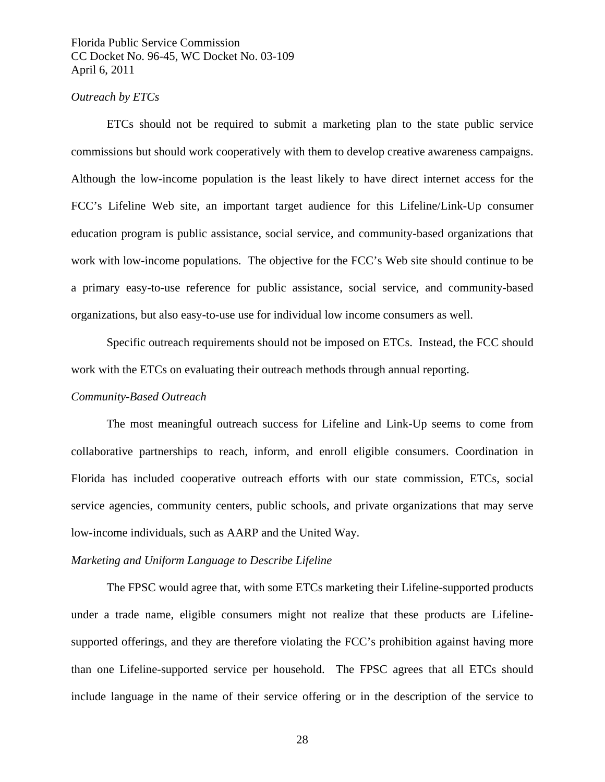## *Outreach by ETCs*

 ETCs should not be required to submit a marketing plan to the state public service commissions but should work cooperatively with them to develop creative awareness campaigns. Although the low-income population is the least likely to have direct internet access for the FCC's Lifeline Web site, an important target audience for this Lifeline/Link-Up consumer education program is public assistance, social service, and community-based organizations that work with low-income populations. The objective for the FCC's Web site should continue to be a primary easy-to-use reference for public assistance, social service, and community-based organizations, but also easy-to-use use for individual low income consumers as well.

 Specific outreach requirements should not be imposed on ETCs. Instead, the FCC should work with the ETCs on evaluating their outreach methods through annual reporting.

#### *Community-Based Outreach*

The most meaningful outreach success for Lifeline and Link-Up seems to come from collaborative partnerships to reach, inform, and enroll eligible consumers. Coordination in Florida has included cooperative outreach efforts with our state commission, ETCs, social service agencies, community centers, public schools, and private organizations that may serve low-income individuals, such as AARP and the United Way.

## *Marketing and Uniform Language to Describe Lifeline*

 The FPSC would agree that, with some ETCs marketing their Lifeline-supported products under a trade name, eligible consumers might not realize that these products are Lifelinesupported offerings, and they are therefore violating the FCC's prohibition against having more than one Lifeline-supported service per household. The FPSC agrees that all ETCs should include language in the name of their service offering or in the description of the service to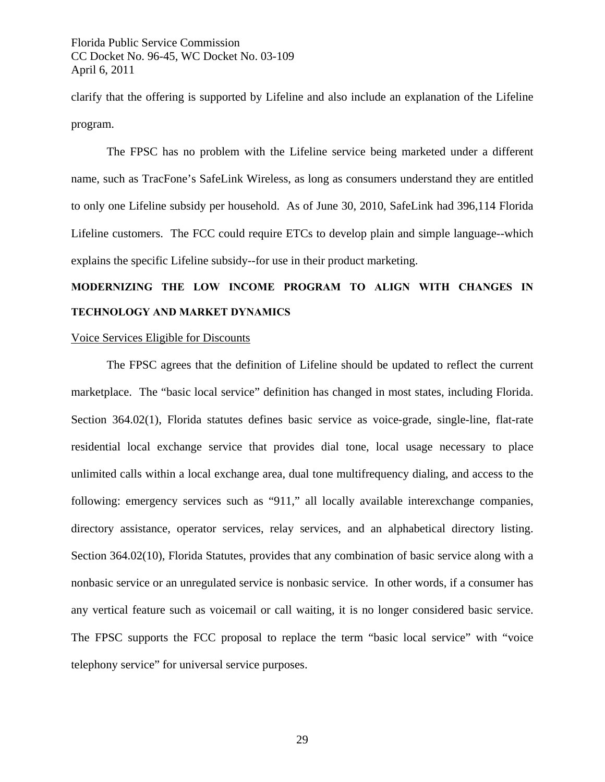clarify that the offering is supported by Lifeline and also include an explanation of the Lifeline program.

 The FPSC has no problem with the Lifeline service being marketed under a different name, such as TracFone's SafeLink Wireless, as long as consumers understand they are entitled to only one Lifeline subsidy per household. As of June 30, 2010, SafeLink had 396,114 Florida Lifeline customers. The FCC could require ETCs to develop plain and simple language--which explains the specific Lifeline subsidy--for use in their product marketing.

## **MODERNIZING THE LOW INCOME PROGRAM TO ALIGN WITH CHANGES IN TECHNOLOGY AND MARKET DYNAMICS**

## Voice Services Eligible for Discounts

The FPSC agrees that the definition of Lifeline should be updated to reflect the current marketplace. The "basic local service" definition has changed in most states, including Florida. Section 364.02(1), Florida statutes defines basic service as voice-grade, single-line, flat-rate residential local exchange service that provides dial tone, local usage necessary to place unlimited calls within a local exchange area, dual tone multifrequency dialing, and access to the following: emergency services such as "911," all locally available interexchange companies, directory assistance, operator services, relay services, and an alphabetical directory listing. Section 364.02(10), Florida Statutes, provides that any combination of basic service along with a nonbasic service or an unregulated service is nonbasic service. In other words, if a consumer has any vertical feature such as voicemail or call waiting, it is no longer considered basic service. The FPSC supports the FCC proposal to replace the term "basic local service" with "voice telephony service" for universal service purposes.